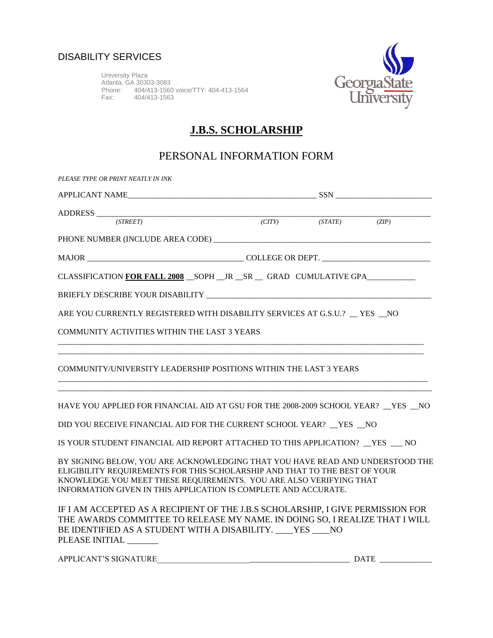University Plaza Atlanta, GA 30303-3083 Phone: 404/413-1560 voice/TTY: 404-413-1564 Fax: 404/413-1563



# **J.B.S. SCHOLARSHIP**

## PERSONAL INFORMATION FORM

| PLEASE TYPE OR PRINT NEATLY IN INK                                                                                                                                                                                                                                                                   |  |  |
|------------------------------------------------------------------------------------------------------------------------------------------------------------------------------------------------------------------------------------------------------------------------------------------------------|--|--|
|                                                                                                                                                                                                                                                                                                      |  |  |
| ADDRESS $\overline{\phantom{a}}(STRFT)$ $(TTY)$ $(STATE)$ $(ZIP)$                                                                                                                                                                                                                                    |  |  |
|                                                                                                                                                                                                                                                                                                      |  |  |
|                                                                                                                                                                                                                                                                                                      |  |  |
| CLASSIFICATION FOR FALL 2008 SOPH _JR _SR _ GRAD CUMULATIVE GPA___________                                                                                                                                                                                                                           |  |  |
|                                                                                                                                                                                                                                                                                                      |  |  |
| ARE YOU CURRENTLY REGISTERED WITH DISABILITY SERVICES AT G.S.U.? TES NO                                                                                                                                                                                                                              |  |  |
| COMMUNITY ACTIVITIES WITHIN THE LAST 3 YEARS                                                                                                                                                                                                                                                         |  |  |
| COMMUNITY/UNIVERSITY LEADERSHIP POSITIONS WITHIN THE LAST 3 YEARS                                                                                                                                                                                                                                    |  |  |
| HAVE YOU APPLIED FOR FINANCIAL AID AT GSU FOR THE 2008-2009 SCHOOL YEAR? YES NO                                                                                                                                                                                                                      |  |  |
| DID YOU RECEIVE FINANCIAL AID FOR THE CURRENT SCHOOL YEAR? __ YES __ NO                                                                                                                                                                                                                              |  |  |
| IS YOUR STUDENT FINANCIAL AID REPORT ATTACHED TO THIS APPLICATION? __YES ___ NO                                                                                                                                                                                                                      |  |  |
| BY SIGNING BELOW, YOU ARE ACKNOWLEDGING THAT YOU HAVE READ AND UNDERSTOOD THE<br>ELIGIBILITY REQUIREMENTS FOR THIS SCHOLARSHIP AND THAT TO THE BEST OF YOUR<br>KNOWLEDGE YOU MEET THESE REQUIREMENTS. YOU ARE ALSO VERIFYING THAT<br>INFORMATION GIVEN IN THIS APPLICATION IS COMPLETE AND ACCURATE. |  |  |
| IF I AM ACCEPTED AS A RECIPIENT OF THE J.B.S SCHOLARSHIP, I GIVE PERMISSION FOR<br>THE AWARDS COMMITTEE TO RELEASE MY NAME. IN DOING SO, I REALIZE THAT I WILL<br>BE IDENTIFIED AS A STUDENT WITH A DISABILITY. ____YES ____NO<br>PLEASE INITIAL                                                     |  |  |

| APPLICANT'S SIGNATURE | DΑ |
|-----------------------|----|
|-----------------------|----|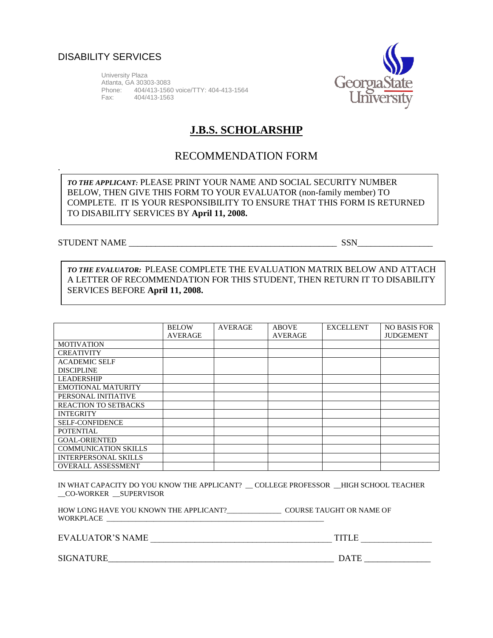University Plaza Atlanta, GA 30303-3083 Phone: 404/413-1560 voice/TTY: 404-413-1564 Fax: 404/413-1563



## **J.B.S. SCHOLARSHIP**

### RECOMMENDATION FORM

*TO THE APPLICANT:* PLEASE PRINT YOUR NAME AND SOCIAL SECURITY NUMBER BELOW, THEN GIVE THIS FORM TO YOUR EVALUATOR (non-family member) TO COMPLETE. IT IS YOUR RESPONSIBILITY TO ENSURE THAT THIS FORM IS RETURNED TO DISABILITY SERVICES BY **April 11, 2008.**

### STUDENT NAME \_\_\_\_\_\_\_\_\_\_\_\_\_\_\_\_\_\_\_\_\_\_\_\_\_\_\_\_\_\_\_\_\_\_\_\_\_\_\_\_\_\_\_\_\_\_\_ SSN\_\_\_\_\_\_\_\_\_\_\_\_\_\_\_\_\_

.

*TO THE EVALUATOR:* PLEASE COMPLETE THE EVALUATION MATRIX BELOW AND ATTACH A LETTER OF RECOMMENDATION FOR THIS STUDENT, THEN RETURN IT TO DISABILITY SERVICES BEFORE **April 11, 2008.**

|                             | <b>BELOW</b>   | <b>AVERAGE</b> | <b>ABOVE</b>   | <b>EXCELLENT</b> | <b>NO BASIS FOR</b> |
|-----------------------------|----------------|----------------|----------------|------------------|---------------------|
|                             | <b>AVERAGE</b> |                | <b>AVERAGE</b> |                  | <b>JUDGEMENT</b>    |
| <b>MOTIVATION</b>           |                |                |                |                  |                     |
| <b>CREATIVITY</b>           |                |                |                |                  |                     |
| <b>ACADEMIC SELF</b>        |                |                |                |                  |                     |
| <b>DISCIPLINE</b>           |                |                |                |                  |                     |
| <b>LEADERSHIP</b>           |                |                |                |                  |                     |
| <b>EMOTIONAL MATURITY</b>   |                |                |                |                  |                     |
| PERSONAL INITIATIVE         |                |                |                |                  |                     |
| <b>REACTION TO SETBACKS</b> |                |                |                |                  |                     |
| <b>INTEGRITY</b>            |                |                |                |                  |                     |
| <b>SELF-CONFIDENCE</b>      |                |                |                |                  |                     |
| <b>POTENTIAL</b>            |                |                |                |                  |                     |
| <b>GOAL-ORIENTED</b>        |                |                |                |                  |                     |
| <b>COMMUNICATION SKILLS</b> |                |                |                |                  |                     |
| <b>INTERPERSONAL SKILLS</b> |                |                |                |                  |                     |
| <b>OVERALL ASSESSMENT</b>   |                |                |                |                  |                     |

IN WHAT CAPACITY DO YOU KNOW THE APPLICANT? \_\_ COLLEGE PROFESSOR \_\_HIGH SCHOOL TEACHER \_\_CO-WORKER \_\_SUPERVISOR

| HOW LONG HAVE YOU KNOWN THE APPLICANT? | <b>COURSE TAUGHT OR NAME OF</b> |
|----------------------------------------|---------------------------------|
| <b>WORKPLACE</b>                       |                                 |

| NAMF<br>EV.<br>TOR'S<br>Δ<br>-Ni |
|----------------------------------|
|----------------------------------|

SIGNATURE\_\_\_\_\_\_\_\_\_\_\_\_\_\_\_\_\_\_\_\_\_\_\_\_\_\_\_\_\_\_\_\_\_\_\_\_\_\_\_\_\_\_\_\_\_\_\_\_\_\_\_ DATE \_\_\_\_\_\_\_\_\_\_\_\_\_\_\_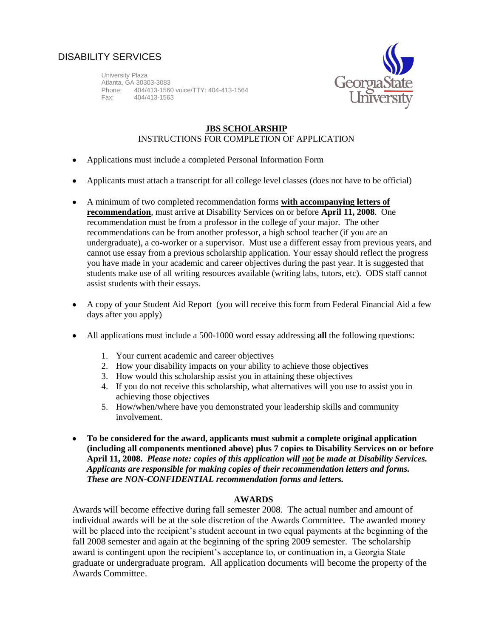University Plaza Atlanta, GA 30303-3083 Phone: 404/413-1560 voice/TTY: 404-413-1564 Fax: 404/413-1563



#### **JBS SCHOLARSHIP** INSTRUCTIONS FOR COMPLETION OF APPLICATION

- Applications must include a completed Personal Information Form  $\bullet$
- Applicants must attach a transcript for all college level classes (does not have to be official)
- A minimum of two completed recommendation forms **with accompanying letters of**   $\bullet$ **recommendation**, must arrive at Disability Services on or before **April 11, 2008**. One recommendation must be from a professor in the college of your major. The other recommendations can be from another professor, a high school teacher (if you are an undergraduate), a co-worker or a supervisor. Must use a different essay from previous years, and cannot use essay from a previous scholarship application. Your essay should reflect the progress you have made in your academic and career objectives during the past year. It is suggested that students make use of all writing resources available (writing labs, tutors, etc). ODS staff cannot assist students with their essays.
- A copy of your Student Aid Report (you will receive this form from Federal Financial Aid a few days after you apply)
- All applications must include a 500-1000 word essay addressing **all** the following questions:
	- 1. Your current academic and career objectives
	- 2. How your disability impacts on your ability to achieve those objectives
	- 3. How would this scholarship assist you in attaining these objectives
	- 4. If you do not receive this scholarship, what alternatives will you use to assist you in achieving those objectives
	- 5. How/when/where have you demonstrated your leadership skills and community involvement.
- $\bullet$ **To be considered for the award, applicants must submit a complete original application (including all components mentioned above) plus 7 copies to Disability Services on or before April 11, 2008.** *Please note: copies of this application will not be made at Disability Services. Applicants are responsible for making copies of their recommendation letters and forms. These are NON-CONFIDENTIAL recommendation forms and letters.*

### **AWARDS**

Awards will become effective during fall semester 2008. The actual number and amount of individual awards will be at the sole discretion of the Awards Committee. The awarded money will be placed into the recipient's student account in two equal payments at the beginning of the fall 2008 semester and again at the beginning of the spring 2009 semester. The scholarship award is contingent upon the recipient's acceptance to, or continuation in, a Georgia State graduate or undergraduate program. All application documents will become the property of the Awards Committee.